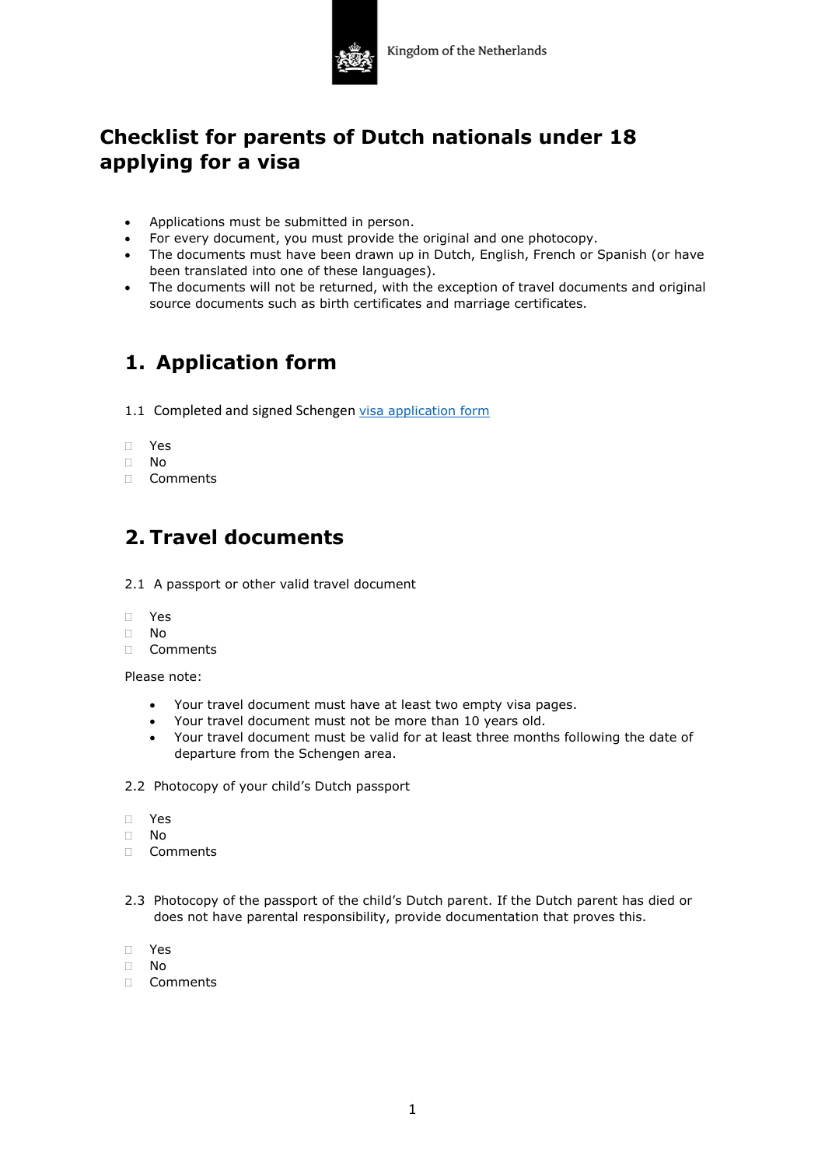

## **Checklist for parents of Dutch nationals under 18 applying for a visa**

- Applications must be submitted in person.
- For every document, you must provide the original and one photocopy.
- The documents must have been drawn up in Dutch, English, French or Spanish (or have been translated into one of these languages).
- The documents will not be returned, with the exception of travel documents and original source documents such as birth certificates and marriage certificates.

# **1. Application form**

- 1.1 Completed and signed Schengen [visa application form](https://consular.mfaservices.nl/schengen-visa/short-stay)
- Yes
- No
- Comments

#### **2. Travel documents**

- 2.1 A passport or other valid travel document
- Yes
- $\Box$  No
- Comments

Please note:

- Your travel document must have at least two empty visa pages.
- Your travel document must not be more than 10 years old.
- Your travel document must be valid for at least three months following the date of departure from the Schengen area.
- 2.2 Photocopy of your child's Dutch passport
- Yes
- No
- Comments
- 2.3 Photocopy of the passport of the child's Dutch parent. If the Dutch parent has died or does not have parental responsibility, provide documentation that proves this.
- Yes
- $\Box$  No
- Comments